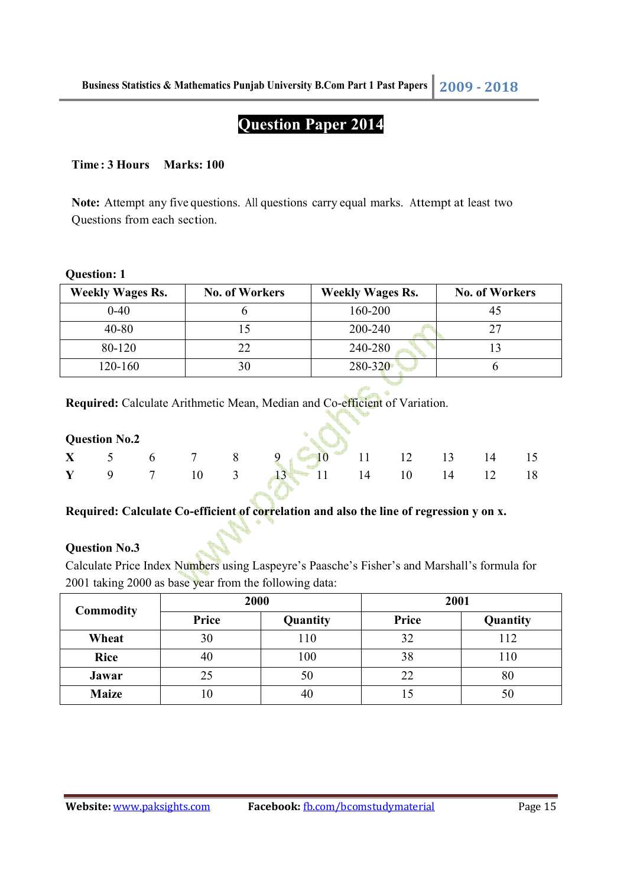# **Question Paper 2014**

# **Time : 3 Hours Marks: 100**

**Note:** Attempt any five questions. All questions carry equal marks. Attempt at least two Questions from each section.

# **Question: 1**

| <b>Weekly Wages Rs.</b> | <b>No. of Workers</b> | <b>Weekly Wages Rs.</b> | <b>No. of Workers</b> |
|-------------------------|-----------------------|-------------------------|-----------------------|
| $0 - 40$                |                       | 160-200                 |                       |
| $40 - 80$               |                       | 200-240                 |                       |
| 80-120                  |                       | 240-280                 |                       |
| 120-160                 |                       | 280-320                 |                       |

**Required:** Calculate Arithmetic Mean, Median and Co-efficient of Variation.

| <b>Question No.2</b> |  |  |  | $X = 5$ 6 7 8 9 6 11 12 13 14 |                         |  |  |  |    |    |
|----------------------|--|--|--|-------------------------------|-------------------------|--|--|--|----|----|
|                      |  |  |  |                               |                         |  |  |  |    | 15 |
|                      |  |  |  |                               | 9 7 10 3 13 11 14 10 14 |  |  |  | 12 | 18 |

â.

# **Required: Calculate Co-efficient of correlation and also the line of regression y on x.**

# **Question No.3**

Calculate Price Index Numbers using Laspeyre's Paasche's Fisher's and Marshall's formula for 2001 taking 2000 as base year from the following data:

| <b>Commodity</b> | 2000  |          | 2001  |          |  |
|------------------|-------|----------|-------|----------|--|
|                  | Price | Quantity | Price | Quantity |  |
| Wheat            | 30    | 110      | 32    | 112      |  |
| <b>Rice</b>      | 40    | 100      | 38    | 110      |  |
| Jawar            | 25    | 50       | 22    | 80       |  |
| <b>Maize</b>     | l U   | 40       |       | 50       |  |